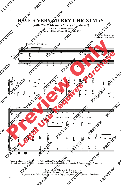## **HAVE A VERY MERRY CHRISTMAS**

 **(with "We Wish You a Merry Christmas")**

for S.A.B. voices and piano with optional SoundPax and SoundTrax CD\*

> *Words and Music by* **DAVID WAGGONER**



<sup>\*</sup> Also available for S.A.T.B. (41730). SoundTrax CD available (41732). SoundPax available (41733) - includes score and set of parts for 2 Trumpets, 2 Trombones, and Percussion.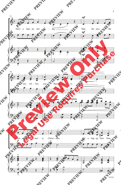

<sup>3</sup>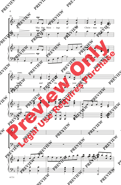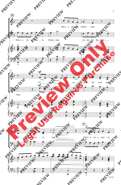

41731

5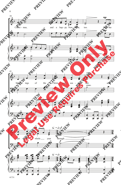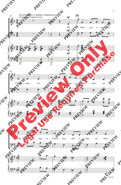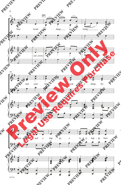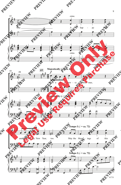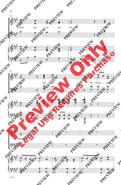